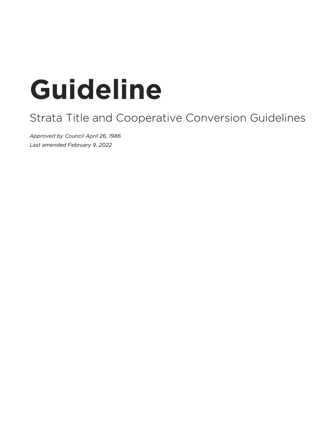# **Guideline**

# Strata Title and Cooperative Conversion Guidelines

*Approved by Council April 26, 1986 Last amended February 9, 2022*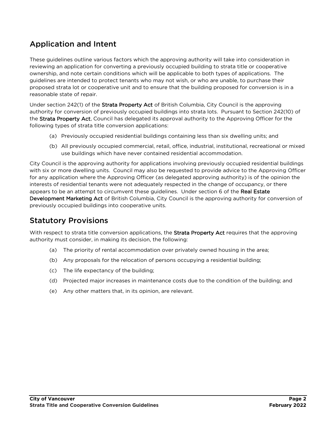## Application and Intent

These guidelines outline various factors which the approving authority will take into consideration in reviewing an application for converting a previously occupied building to strata title or cooperative ownership, and note certain conditions which will be applicable to both types of applications. The guidelines are intended to protect tenants who may not wish, or who are unable, to purchase their proposed strata lot or cooperative unit and to ensure that the building proposed for conversion is in a reasonable state of repair.

Under section 242(1) of the Strata Property Act of British Columbia, City Council is the approving authority for conversion of previously occupied buildings into strata lots. Pursuant to Section 242(10) of the Strata Property Act, Council has delegated its approval authority to the Approving Officer for the following types of strata title conversion applications:

- (a) Previously occupied residential buildings containing less than six dwelling units; and
- (b) All previously occupied commercial, retail, office, industrial, institutional, recreational or mixed use buildings which have never contained residential accommodation.

City Council is the approving authority for applications involving previously occupied residential buildings with six or more dwelling units. Council may also be requested to provide advice to the Approving Officer for any application where the Approving Officer (as delegated approving authority) is of the opinion the interests of residential tenants were not adequately respected in the change of occupancy, or there appears to be an attempt to circumvent these guidelines. Under section 6 of the Real Estate Development Marketing Act of British Columbia, City Council is the approving authority for conversion of previously occupied buildings into cooperative units.

#### Statutory Provisions

With respect to strata title conversion applications, the Strata Property Act requires that the approving authority must consider, in making its decision, the following:

- (a) The priority of rental accommodation over privately owned housing in the area;
- (b) Any proposals for the relocation of persons occupying a residential building;
- (c) The life expectancy of the building;
- (d) Projected major increases in maintenance costs due to the condition of the building; and
- (e) Any other matters that, in its opinion, are relevant.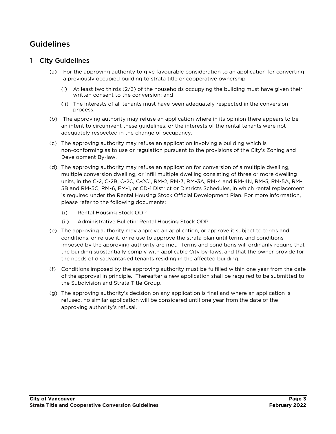### Guidelines

#### 1 City Guidelines

- (a) For the approving authority to give favourable consideration to an application for converting a previously occupied building to strata title or cooperative ownership
	- (i) At least two thirds (2/3) of the households occupying the building must have given their written consent to the conversion; and
	- (ii) The interests of all tenants must have been adequately respected in the conversion process.
- (b) The approving authority may refuse an application where in its opinion there appears to be an intent to circumvent these guidelines, or the interests of the rental tenants were not adequately respected in the change of occupancy.
- (c) The approving authority may refuse an application involving a building which is non-conforming as to use or regulation pursuant to the provisions of the City's Zoning and Development By-law.
- (d) The approving authority may refuse an application for conversion of a multiple dwelling, multiple conversion dwelling, or infill multiple dwelling consisting of three or more dwelling units, in the C-2, C-2B, C-2C, C-2C1, RM-2, RM-3, RM-3A, RM-4 and RM-4N, RM-5, RM-5A, RM-5B and RM-5C, RM-6, FM-1, or CD-1 District or Districts Schedules, in which rental replacement is required under the Rental Housing Stock Official Development Plan. For more information, please refer to the following documents:
	- (i) Rental Housing Stock ODP
	- (ii) Administrative Bulletin: Rental Housing Stock ODP
- (e) The approving authority may approve an application, or approve it subject to terms and conditions, or refuse it, or refuse to approve the strata plan until terms and conditions imposed by the approving authority are met. Terms and conditions will ordinarily require that the building substantially comply with applicable City by-laws, and that the owner provide for the needs of disadvantaged tenants residing in the affected building.
- (f) Conditions imposed by the approving authority must be fulfilled within one year from the date of the approval in principle. Thereafter a new application shall be required to be submitted to the Subdivision and Strata Title Group.
- (g) The approving authority's decision on any application is final and where an application is refused, no similar application will be considered until one year from the date of the approving authority's refusal.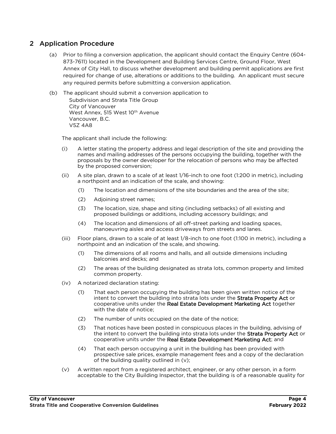#### 2 Application Procedure

- (a) Prior to filing a conversion application, the applicant should contact the Enquiry Centre (604- 873-7611) located in the Development and Building Services Centre, Ground Floor, West Annex of City Hall, to discuss whether development and building permit applications are first required for change of use, alterations or additions to the building. An applicant must secure any required permits before submitting a conversion application.
- (b) The applicant should submit a conversion application to Subdivision and Strata Title Group City of Vancouver West Annex, 515 West 10<sup>th</sup> Avenue Vancouver, B.C. V5Z 4A8

The applicant shall include the following:

- (i) A letter stating the property address and legal description of the site and providing the names and mailing addresses of the persons occupying the building, together with the proposals by the owner developer for the relocation of persons who may be affected by the proposed conversion;
- (ii) A site plan, drawn to a scale of at least 1/16-inch to one foot (1:200 in metric), including a northpoint and an indication of the scale, and showing:
	- (1) The location and dimensions of the site boundaries and the area of the site;
	- (2) Adjoining street names;
	- (3) The location, size, shape and siting (including setbacks) of all existing and proposed buildings or additions, including accessory buildings; and
	- (4) The location and dimensions of all off-street parking and loading spaces, manoeuvring aisles and access driveways from streets and lanes.
- (iii) Floor plans, drawn to a scale of at least 1/8-inch to one foot (1:100 in metric), including a northpoint and an indication of the scale, and showing.
	- (1) The dimensions of all rooms and halls, and all outside dimensions including balconies and decks; and
	- (2) The areas of the building designated as strata lots, common property and limited common property.
- (iv) A notarized declaration stating:
	- (1) That each person occupying the building has been given written notice of the intent to convert the building into strata lots under the Strata Property Act or cooperative units under the Real Estate Development Marketing Act together with the date of notice;
	- (2) The number of units occupied on the date of the notice;
	- (3) That notices have been posted in conspicuous places in the building, advising of the intent to convert the building into strata lots under the Strata Property Act or cooperative units under the Real Estate Development Marketing Act; and
	- (4) That each person occupying a unit in the building has been provided with prospective sale prices, example management fees and a copy of the declaration of the building quality outlined in (v);
- (v) A written report from a registered architect, engineer, or any other person, in a form acceptable to the City Building Inspector, that the building is of a reasonable quality for